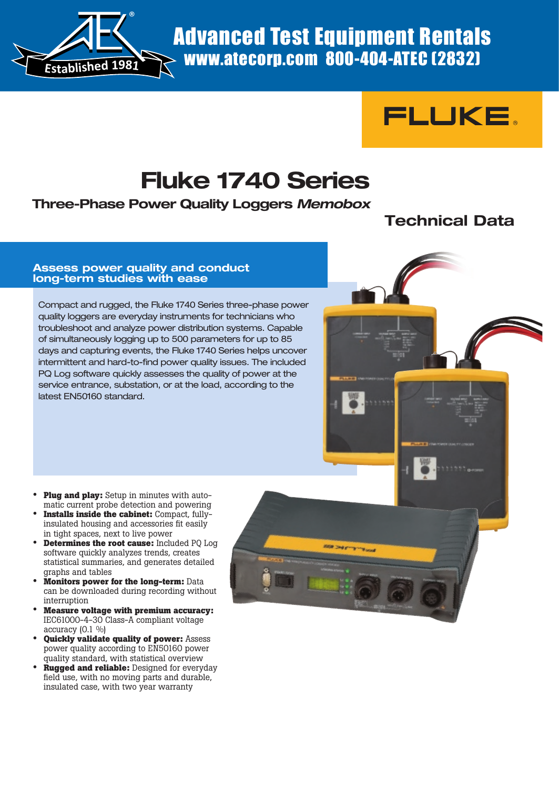



# **Fluke 1740 Series**

**Three-Phase Power Quality Loggers** *Memobox*

# **Technical Data**

#### **Assess power quality and conduct long-term studies with ease**

Compact and rugged, the Fluke 1740 Series three-phase power quality loggers are everyday instruments for technicians who troubleshoot and analyze power distribution systems. Capable of simultaneously logging up to 500 parameters for up to 85 days and capturing events, the Fluke 1740 Series helps uncover intermittent and hard-to-find power quality issues. The included PQ Log software quickly assesses the quality of power at the service entrance, substation, or at the load, according to the latest EN50160 standard.

- **Plug and play:** Setup in minutes with automatic current probe detection and powering
- **Installs inside the cabinet:** Compact, fully insulated housing and accessories fit easily in tight spaces, next to live power
- **Determines the root cause:** Included PQ Log software quickly analyzes trends, creates statistical summaries, and generates detailed graphs and tables
- **Monitors power for the long-term:** Data can be downloaded during recording without interruption
- **Measure voltage with premium accuracy:** IEC61000-4-30 Class-A compliant voltage accuracy (0.1 %)
- **Quickly validate quality of power:** Assess power quality according to EN50160 power quality standard, with statistical overview
- **Rugged and reliable:** Designed for everyday field use, with no moving parts and durable, insulated case, with two year warranty

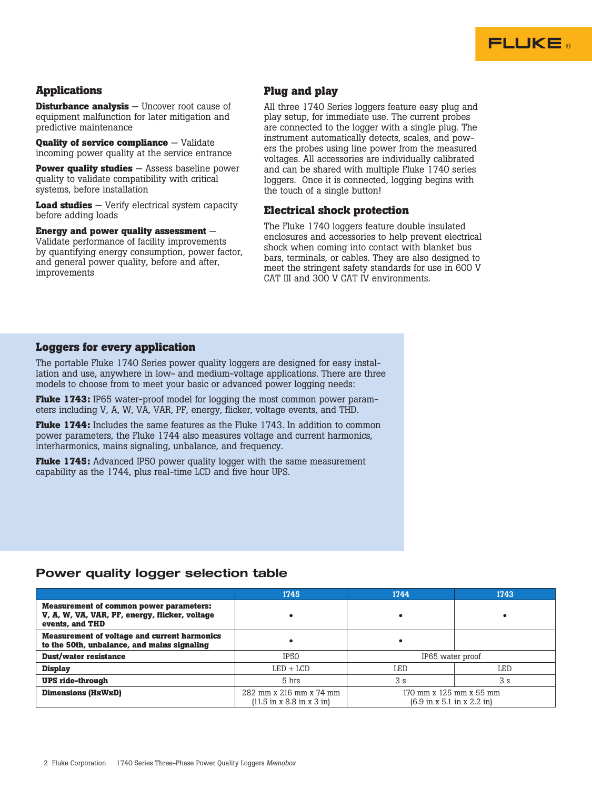

#### **Applications**

**Disturbance analysis** — Uncover root cause of equipment malfunction for later mitigation and predictive maintenance

**Quality of service compliance** – Validate incoming power quality at the service entrance

**Power quality studies** — Assess baseline power quality to validate compatibility with critical systems, before installation

**Load studies** — Verify electrical system capacity before adding loads

**Energy and power quality assessment** — Validate performance of facility improvements by quantifying energy consumption, power factor, and general power quality, before and after, improvements

#### **Plug and play**

All three 1740 Series loggers feature easy plug and play setup, for immediate use. The current probes are connected to the logger with a single plug. The instrument automatically detects, scales, and powers the probes using line power from the measured voltages. All accessories are individually calibrated and can be shared with multiple Fluke 1740 series loggers. Once it is connected, logging begins with the touch of a single button!

#### **Electrical shock protection**

The Fluke 1740 loggers feature double insulated enclosures and accessories to help prevent electrical shock when coming into contact with blanket bus bars, terminals, or cables. They are also designed to meet the stringent safety standards for use in 600 V CAT III and 300 V CAT IV environments.

#### **Loggers for every application**

The portable Fluke 1740 Series power quality loggers are designed for easy installation and use, anywhere in low- and medium-voltage applications. There are three models to choose from to meet your basic or advanced power logging needs:

**Fluke 1743:** IP65 water-proof model for logging the most common power parameters including V, A, W, VA, VAR, PF, energy, flicker, voltage events, and THD.

**Fluke 1744:** Includes the same features as the Fluke 1743. In addition to common power parameters, the Fluke 1744 also measures voltage and current harmonics, interharmonics, mains signaling, unbalance, and frequency.

**Fluke 1745:** Advanced IP50 power quality logger with the same measurement capability as the 1744, plus real-time LCD and five hour UPS.

#### **Power quality logger selection table**

|                                                                                                                     | 1745                                                                             | 1744                                                                              | 1743           |
|---------------------------------------------------------------------------------------------------------------------|----------------------------------------------------------------------------------|-----------------------------------------------------------------------------------|----------------|
| <b>Measurement of common power parameters:</b><br>V, A, W, VA, VAR, PF, energy, flicker, voltage<br>events, and THD |                                                                                  |                                                                                   |                |
| <b>Measurement of voltage and current harmonics</b><br>to the 50th, unbalance, and mains signaling                  | $\bullet$                                                                        | ٠                                                                                 |                |
| Dust/water resistance                                                                                               | <b>IP50</b>                                                                      | IP65 water proof                                                                  |                |
| <b>Display</b>                                                                                                      | $LED + LCD$                                                                      | LED                                                                               | LED            |
| <b>UPS ride-through</b>                                                                                             | 5 hrs                                                                            | 3s                                                                                | 3 <sub>s</sub> |
| <b>Dimensions (HxWxD)</b>                                                                                           | 282 mm x 216 mm x 74 mm<br>$(11.5 \text{ in } x 8.8 \text{ in } x 3 \text{ in})$ | 170 mm x 125 mm x 55 mm<br>$(6.9 \text{ in } x 5.1 \text{ in } x 2.2 \text{ in})$ |                |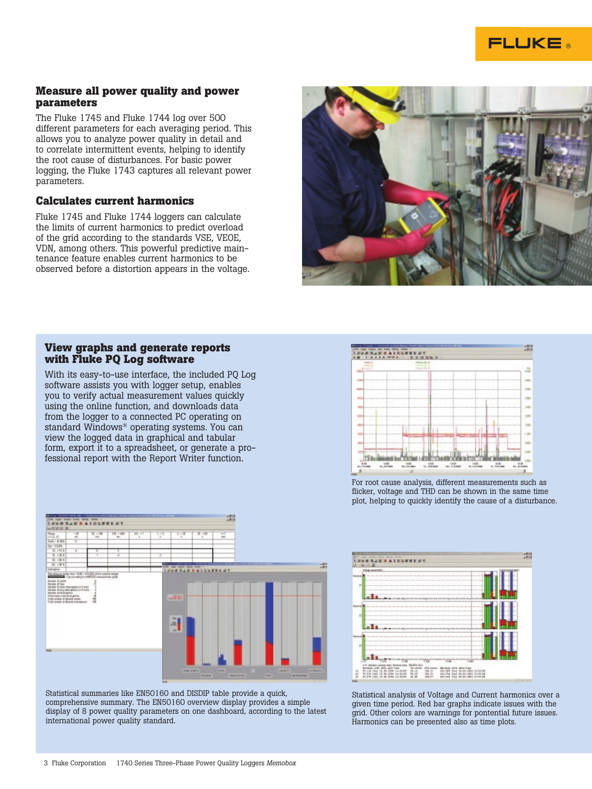#### **Measure all power quality and power parameters**

The Fluke 1745 and Fluke 1744 log over 500 different parameters for each averaging period. This allows you to analyze power quality in detail and to correlate intermittent events, helping to identify the root cause of disturbances. For basic power logging, the Fluke 1743 captures all relevant power parameters.

#### **Calculates current harmonics**

Fluke 1745 and Fluke 1744 loggers can calculate the limits of current harmonics to predict overload of the grid according to the standards VSE, VEOE, VDN, among others. This powerful predictive maintenance feature enables current harmonics to be observed before a distortion appears in the voltage.



#### **View graphs and generate reports with Fluke PQ Log software**

With its easy-to-use interface, the included PQ Log software assists you with logger setup, enables you to verify actual measurement values quickly using the online function, and downloads data from the logger to a connected PC operating on standard Windows® operating systems. You can view the logged data in graphical and tabular form, export it to a spreadsheet, or generate a professional report with the Report Writer function.



For root cause analysis, different measurements such as flicker, voltage and THD can be shown in the same time plot, helping to quickly identify the cause of a disturbance.



Statistical summaries like EN50160 and DISDIP table provide a quick, comprehensive summary. The EN50160 overview display provides a simple display of 8 power quality parameters on one dashboard, according to the latest international power quality standard.



Statistical analysis of Voltage and Current harmonics over a given time period. Red bar graphs indicate issues with the grid. Other colors are warnings for pontential future issues. Harmonics can be presented also as time plots.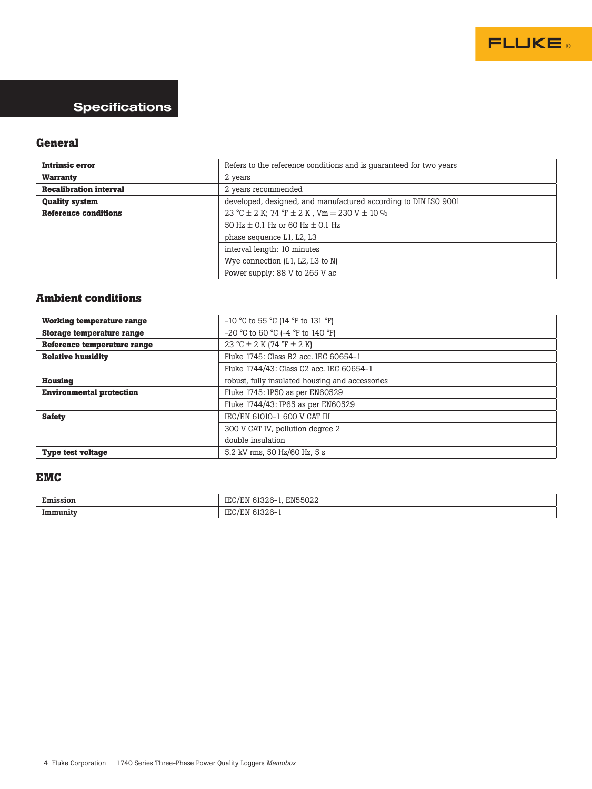

## **Specifications**

### **General**

| <b>Intrinsic error</b>                   | Refers to the reference conditions and is quaranteed for two years |
|------------------------------------------|--------------------------------------------------------------------|
| <b>Warranty</b>                          | 2 years                                                            |
| <b>Recalibration interval</b>            | 2 years recommended                                                |
| <b>Quality system</b>                    | developed, designed, and manufactured according to DIN ISO 9001    |
| <b>Reference conditions</b>              | 23 °C $\pm$ 2 K; 74 °F $\pm$ 2 K, Vm = 230 V $\pm$ 10 %            |
| 50 Hz $\pm$ 0.1 Hz or 60 Hz $\pm$ 0.1 Hz |                                                                    |
|                                          | phase sequence L1, L2, L3                                          |
|                                          | interval length: 10 minutes                                        |
|                                          | Wye connection $(L1, L2, L3$ to N)                                 |
|                                          | Power supply: 88 V to 265 V ac                                     |

#### **Ambient conditions**

| <b>Working temperature range</b> | $-10$ °C to 55 °C (14 °F to 131 °F)             |
|----------------------------------|-------------------------------------------------|
| <b>Storage temperature range</b> | $-20$ °C to 60 °C ( $-4$ °F to 140 °F)          |
| Reference temperature range      | 23 °C $\pm$ 2 K (74 °F $\pm$ 2 K)               |
| <b>Relative humidity</b>         | Fluke 1745: Class B2 acc. IEC 60654-1           |
|                                  | Fluke 1744/43: Class C2 acc. IEC 60654-1        |
| Housing                          | robust, fully insulated housing and accessories |
| <b>Environmental protection</b>  | Fluke 1745: IP50 as per EN60529                 |
|                                  | Fluke 1744/43: IP65 as per EN60529              |
| <b>Safety</b>                    | IEC/EN 61010-1 600 V CAT III                    |
|                                  | 300 V CAT IV, pollution degree 2                |
|                                  | double insulation                               |
| <b>Type test voltage</b>         | 5.2 kV rms. 50 Hz/60 Hz. 5 s                    |

#### **EMC**

| $\overline{\phantom{a}}$<br>nission | 1000c<br><b>EN550</b><br>ANG.<br>- 1 M<br>$\sim$<br>. |
|-------------------------------------|-------------------------------------------------------|
| <i>Immunity</i>                     | uu<br>ᆠ                                               |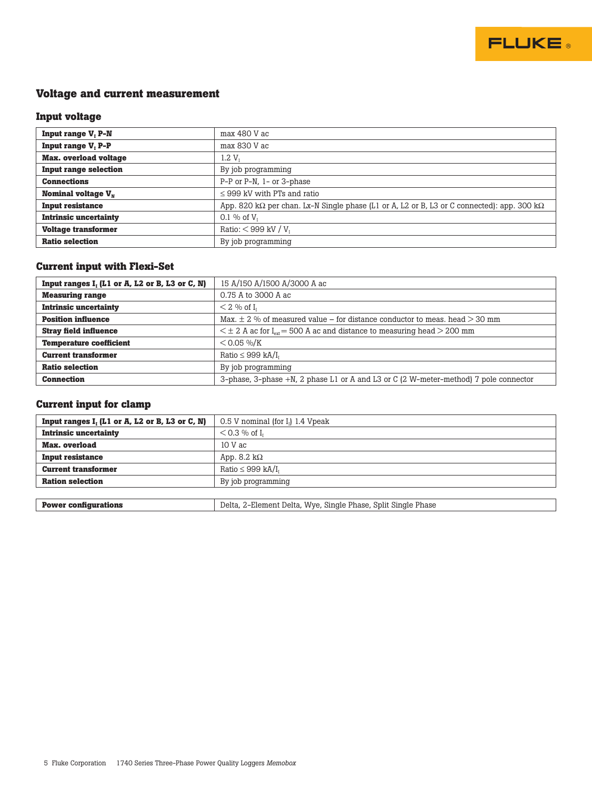

#### **Voltage and current measurement**

#### **Input voltage**

| <b>Input range V, P-N</b>      | max 480 V ac                                                                                               |
|--------------------------------|------------------------------------------------------------------------------------------------------------|
| Input range V <sub>1</sub> P-P | max 830 V ac                                                                                               |
| <b>Max.</b> overload voltage   | 1.2 V <sub>r</sub>                                                                                         |
| <b>Input range selection</b>   | By job programming                                                                                         |
| <b>Connections</b>             | P-P or P-N, 1- or 3-phase                                                                                  |
| Nominal voltage $V_w$          | $\leq$ 999 kV with PTs and ratio                                                                           |
| <b>Input resistance</b>        | App. 820 k $\Omega$ per chan. Lx-N Single phase (L1 or A, L2 or B, L3 or C connected): app. 300 k $\Omega$ |
| <b>Intrinsic uncertainty</b>   | 0.1 % of $V_1$                                                                                             |
| <b>Voltage transformer</b>     | Ratio: $<$ 999 kV / V <sub>1</sub>                                                                         |
| <b>Ratio selection</b>         | By job programming                                                                                         |

#### **Current input with Flexi-Set**

| Input ranges $I_1$ (L1 or A, L2 or B, L3 or C, N) | 15 A/150 A/1500 A/3000 A ac                                                              |
|---------------------------------------------------|------------------------------------------------------------------------------------------|
| <b>Measuring range</b>                            | 0.75 A to 3000 A ac                                                                      |
| <b>Intrinsic uncertainty</b>                      | $<$ 2 % of I <sub>1</sub>                                                                |
| <b>Position influence</b>                         | Max, $\pm$ 2 % of measured value – for distance conductor to meas, head $>$ 30 mm        |
| <b>Stray field influence</b>                      | $\leq \pm 2$ A ac for $I_{\text{av}}$ = 500 A ac and distance to measuring head > 200 mm |
| <b>Temperature coefficient</b>                    | $<$ 0.05 %/K                                                                             |
| <b>Current transformer</b>                        | Ratio $\leq$ 999 kA/I <sub>1</sub>                                                       |
| <b>Ratio selection</b>                            | By job programming                                                                       |
| <b>Connection</b>                                 | 3-phase, 3-phase $+N$ , 2 phase L1 or A and L3 or C (2 W-meter-method) 7 pole connector  |

#### **Current input for clamp**

| Input ranges $I_1$ (L1 or A, L2 or B, L3 or C, N) | 0.5 V nominal (for $I_1$ ) 1.4 Vpeak |
|---------------------------------------------------|--------------------------------------|
| <b>Intrinsic uncertainty</b>                      | $<$ 0.3 % of I <sub>1</sub>          |
| Max. overload                                     | $10V$ ac                             |
| <b>Input resistance</b>                           | App. 8.2 k $\Omega$                  |
| <b>Current transformer</b>                        | Ratio $\leq$ 999 kA/I <sub>1</sub>   |
| <b>Ration selection</b>                           | By job programming                   |
|                                                   |                                      |

| <b>Power</b><br>configurations<br>___ | $\overline{\phantom{a}}$<br>Delta<br>Phase<br>Phase.<br>Wye<br>Element<br>Single<br>Split<br>Single<br>Delta<br>.<br>$\cdot$<br>____<br>. |
|---------------------------------------|-------------------------------------------------------------------------------------------------------------------------------------------|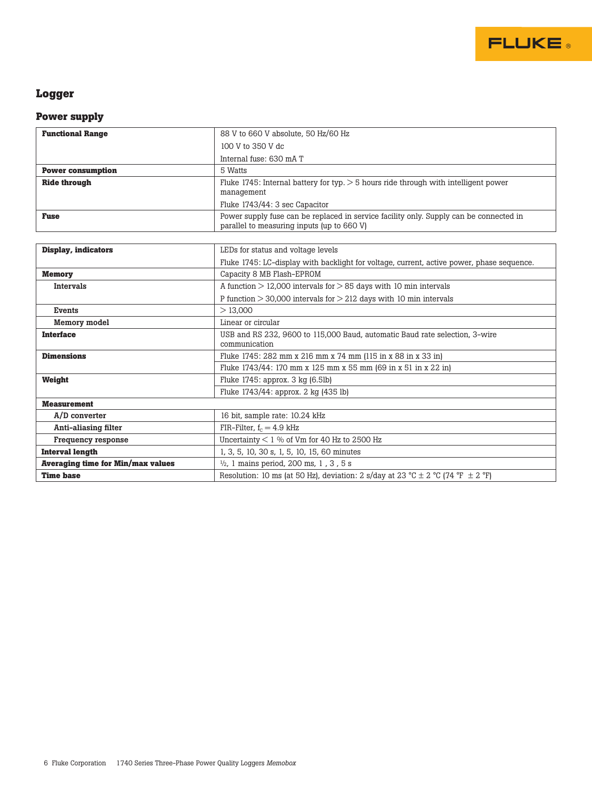

## **Logger**

#### **Power supply**

| <b>Functional Range</b>                  | 88 V to 660 V absolute, 50 Hz/60 Hz                                                                                                  |
|------------------------------------------|--------------------------------------------------------------------------------------------------------------------------------------|
|                                          | 100 V to 350 V dc                                                                                                                    |
|                                          | Internal fuse: 630 mA T                                                                                                              |
| <b>Power consumption</b>                 | 5 Watts                                                                                                                              |
| <b>Ride through</b>                      | Fluke 1745: Internal battery for typ. $> 5$ hours ride through with intelligent power                                                |
|                                          | management                                                                                                                           |
|                                          | Fluke 1743/44: 3 sec Capacitor                                                                                                       |
| <b>Fuse</b>                              | Power supply fuse can be replaced in service facility only. Supply can be connected in<br>parallel to measuring inputs (up to 660 V) |
|                                          |                                                                                                                                      |
| <b>Display, indicators</b>               | LEDs for status and voltage levels                                                                                                   |
|                                          | Fluke 1745: LC-display with backlight for voltage, current, active power, phase sequence.                                            |
| <b>Memory</b>                            | Capacity 8 MB Flash-EPROM                                                                                                            |
| <b>Intervals</b>                         | A function $> 12,000$ intervals for $> 85$ days with 10 min intervals                                                                |
|                                          | P function $>$ 30,000 intervals for $>$ 212 days with 10 min intervals                                                               |
| Events                                   | >13.000                                                                                                                              |
| Memory model                             | Linear or circular                                                                                                                   |
| <b>Interface</b>                         | USB and RS 232, 9600 to 115,000 Baud, automatic Baud rate selection, 3-wire<br>communication                                         |
| <b>Dimensions</b>                        | Fluke 1745: 282 mm x 216 mm x 74 mm (115 in x 88 in x 33 in)                                                                         |
|                                          | Fluke 1743/44: 170 mm x 125 mm x 55 mm (69 in x 51 in x 22 in)                                                                       |
| Weight                                   | Fluke 1745: approx. 3 kg (6.5lb)                                                                                                     |
|                                          | Fluke 1743/44: approx. 2 kg (435 lb)                                                                                                 |
| <b>Measurement</b>                       |                                                                                                                                      |
| A/D converter                            | 16 bit, sample rate: 10.24 kHz                                                                                                       |
| Anti-aliasing filter                     | FIR-Filter, $f_c = 4.9$ kHz                                                                                                          |
| Frequency response                       | Uncertainty $<1$ % of Vm for 40 Hz to 2500 Hz                                                                                        |
| <b>Interval length</b>                   | 1, 3, 5, 10, 30 s, 1, 5, 10, 15, 60 minutes                                                                                          |
| <b>Averaging time for Min/max values</b> | $\frac{1}{2}$ , 1 mains period, 200 ms, 1, 3, 5 s                                                                                    |
| <b>Time base</b>                         | Resolution: 10 ms (at 50 Hz), deviation: 2 s/day at 23 °C $\pm$ 2 °C (74 °F $\pm$ 2 °F)                                              |